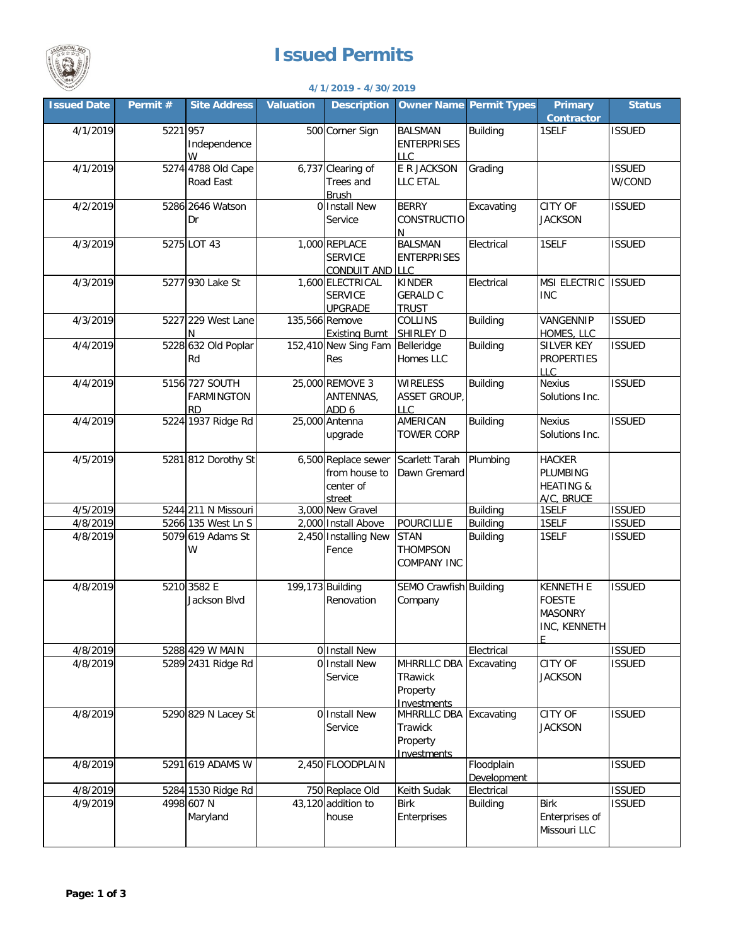

## **Issued Permits**

| <b>Party Lewis</b><br>4/1/2019 - 4/30/2019 |          |                                                  |                  |                                                             |                                                                     |                                |                                                                     |                         |  |
|--------------------------------------------|----------|--------------------------------------------------|------------------|-------------------------------------------------------------|---------------------------------------------------------------------|--------------------------------|---------------------------------------------------------------------|-------------------------|--|
| <b>Issued Date</b>                         | Permit # | <b>Site Address</b>                              | <b>Valuation</b> | <b>Description</b>                                          |                                                                     | <b>Owner Name Permit Types</b> | Primary<br><b>Contractor</b>                                        | <b>Status</b>           |  |
| 4/1/2019                                   | 5221 957 | Independence<br>W                                |                  | 500 Corner Sign                                             | <b>BALSMAN</b><br><b>ENTERPRISES</b><br><b>LLC</b>                  | <b>Building</b>                | 1SELF                                                               | <b>ISSUED</b>           |  |
| 4/1/2019                                   |          | 5274 4788 Old Cape<br>Road East                  |                  | 6,737 Clearing of<br>Trees and<br><b>Brush</b>              | E R JACKSON<br>LLC ETAL                                             | Grading                        |                                                                     | <b>ISSUED</b><br>W/COND |  |
| 4/2/2019                                   |          | 5286 2646 Watson<br>Dr                           |                  | 0 Install New<br>Service                                    | <b>BERRY</b><br><b>CONSTRUCTIO</b><br>N.                            | Excavating                     | <b>CITY OF</b><br><b>JACKSON</b>                                    | <b>ISSUED</b>           |  |
| 4/3/2019                                   |          | 5275 LOT 43                                      |                  | 1,000 REPLACE<br><b>SERVICE</b><br><b>CONDUIT AND</b>       | <b>BALSMAN</b><br><b>ENTERPRISES</b><br><b>LLC</b>                  | Electrical                     | 1SELF                                                               | <b>ISSUED</b>           |  |
| 4/3/2019                                   |          | 5277 930 Lake St                                 |                  | 1,600 ELECTRICAL<br><b>SERVICE</b><br><b>UPGRADE</b>        | <b>KINDER</b><br><b>GERALD C</b><br><b>TRUST</b>                    | Electrical                     | <b>MSI ELECTRIC</b><br><b>INC</b>                                   | <b>ISSUED</b>           |  |
| 4/3/2019                                   |          | 5227 229 West Lane<br>N                          |                  | 135,566 Remove<br><b>Existing Burnt</b>                     | <b>COLLINS</b><br><b>SHIRLEY D</b>                                  | <b>Building</b>                | VANGENNIP<br>HOMES, LLC                                             | <b>ISSUED</b>           |  |
| 4/4/2019                                   |          | 5228 632 Old Poplar<br>Rd                        |                  | 152,410 New Sing Fam<br><b>Res</b>                          | Belleridge<br>Homes LLC                                             | <b>Building</b>                | <b>SILVER KEY</b><br><b>PROPERTIES</b><br><b>LLC</b>                | <b>ISSUED</b>           |  |
| 4/4/2019                                   |          | 5156 727 SOUTH<br><b>FARMINGTON</b><br><b>RD</b> |                  | 25,000 REMOVE 3<br>ANTENNAS,<br>ADD 6                       | <b>WIRELESS</b><br><b>ASSET GROUP</b><br>LLC                        | <b>Building</b>                | <b>Nexius</b><br>Solutions Inc.                                     | <b>ISSUED</b>           |  |
| 4/4/2019                                   |          | 5224 1937 Ridge Rd                               |                  | 25,000 Antenna<br>upgrade                                   | AMERICAN<br><b>TOWER CORP</b>                                       | <b>Building</b>                | <b>Nexius</b><br>Solutions Inc.                                     | <b>ISSUED</b>           |  |
| 4/5/2019                                   |          | 5281 812 Dorothy St                              |                  | 6,500 Replace sewer<br>from house to<br>center of<br>street | Scarlett Tarah<br>Dawn Gremard                                      | Plumbing                       | <b>HACKER</b><br>PLUMBING<br><b>HEATING &amp;</b><br>A/C. BRUCE     |                         |  |
| 4/5/2019                                   |          | 5244 211 N Missouri                              |                  | 3,000 New Gravel                                            |                                                                     | <b>Building</b>                | 1SELF                                                               | <b>ISSUED</b>           |  |
| 4/8/2019                                   |          | 5266 135 West Ln S                               |                  | 2,000 Install Above                                         | <b>POURCILLIE</b>                                                   | <b>Building</b>                | 1SELF                                                               | <b>ISSUED</b>           |  |
| 4/8/2019                                   |          | 5079 619 Adams St<br>W                           |                  | 2,450 Installing New<br>Fence                               | <b>STAN</b><br><b>THOMPSON</b><br><b>COMPANY INC</b>                | <b>Building</b>                | 1SELF                                                               | <b>ISSUED</b>           |  |
| 4/8/2019                                   |          | 5210 3582 E<br>Jackson Blvd                      |                  | 199,173 Building<br>Renovation                              | SEMO Crawfish Building<br>Company                                   |                                | <b>KENNETH E</b><br><b>FOESTE</b><br><b>MASONRY</b><br>INC, KENNETH | <b>ISSUED</b>           |  |
| 4/8/2019                                   |          | 5288 429 W MAIN                                  |                  | 0 Install New                                               |                                                                     | Electrical                     |                                                                     | <b>ISSUED</b>           |  |
| 4/8/2019                                   |          | 5289 2431 Ridge Rd                               |                  | 0 Install New<br>Service                                    | MHRRLLC DBA<br>TRawick<br>Property<br>Investments                   | Excavating                     | <b>CITY OF</b><br><b>JACKSON</b>                                    | <b>ISSUED</b>           |  |
| 4/8/2019                                   |          | 5290 829 N Lacey St                              |                  | 0 Install New<br>Service                                    | MHRRLLC DBA Excavating<br>Trawick<br>Property<br><b>Investments</b> |                                | <b>CITY OF</b><br><b>JACKSON</b>                                    | <b>ISSUED</b>           |  |
| 4/8/2019                                   |          | 5291 619 ADAMS W                                 |                  | 2,450 FLOODPLAIN                                            |                                                                     | Floodplain<br>Development      |                                                                     | <b>ISSUED</b>           |  |
| 4/8/2019                                   |          | 5284 1530 Ridge Rd                               |                  | 750 Replace Old                                             | Keith Sudak                                                         | Electrical                     |                                                                     | <b>ISSUED</b>           |  |
| 4/9/2019                                   |          | 4998 607 N<br>Maryland                           |                  | 43,120 addition to<br>house                                 | <b>Birk</b><br>Enterprises                                          | <b>Building</b>                | <b>Birk</b><br>Enterprises of<br>Missouri LLC                       | <b>ISSUED</b>           |  |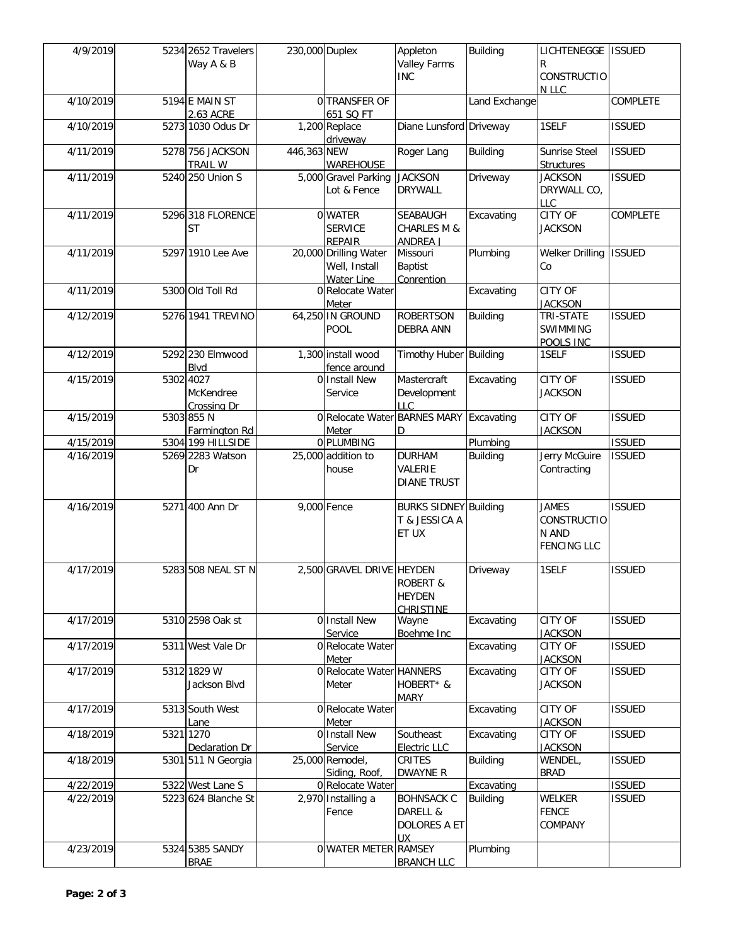| 4/9/2019  | 5234 2652 Travelers<br>Way A & B      | 230,000 Duplex |                                                             | Appleton<br><b>Valley Farms</b><br><b>INC</b>            | <b>Building</b> | LICHTENEGGE   ISSUED<br>R<br><b>CONSTRUCTIO</b><br><b>NLLC</b> |               |
|-----------|---------------------------------------|----------------|-------------------------------------------------------------|----------------------------------------------------------|-----------------|----------------------------------------------------------------|---------------|
| 4/10/2019 | 5194 E MAIN ST<br>2.63 ACRE           |                | 0 TRANSFER OF<br>651 SQ FT                                  |                                                          | Land Exchange   |                                                                | COMPLETE      |
| 4/10/2019 | 5273 1030 Odus Dr                     |                | 1,200 Replace<br>driveway                                   | Diane Lunsford Driveway                                  |                 | 1SELF                                                          | <b>ISSUED</b> |
| 4/11/2019 | 5278 756 JACKSON<br><b>TRAIL W</b>    | 446,363 NEW    | <b>WAREHOUSE</b>                                            | Roger Lang                                               | <b>Building</b> | Sunrise Steel<br><b>Structures</b>                             | <b>ISSUED</b> |
| 4/11/2019 | 5240 250 Union S                      |                | 5,000 Gravel Parking<br>Lot & Fence                         | <b>JACKSON</b><br><b>DRYWALL</b>                         | Driveway        | <b>JACKSON</b><br>DRYWALL CO,<br><b>LLC</b>                    | <b>ISSUED</b> |
| 4/11/2019 | 5296 318 FLORENCE<br>ST               |                | 0 WATER<br><b>SERVICE</b><br><b>REPAIR</b>                  | SEABAUGH<br><b>CHARLES M &amp;</b><br><b>ANDREA J</b>    | Excavating      | CITY OF<br><b>JACKSON</b>                                      | COMPLETE      |
| 4/11/2019 | 5297 1910 Lee Ave                     |                | 20,000 Drilling Water<br>Well, Install<br><b>Water Line</b> | Missouri<br><b>Baptist</b><br>Conrention                 | Plumbing        | Welker Drilling<br>Cо                                          | <b>ISSUED</b> |
| 4/11/2019 | 5300 Old Toll Rd                      |                | 0 Relocate Water<br>Meter                                   |                                                          | Excavating      | <b>CITY OF</b><br><b>JACKSON</b>                               |               |
| 4/12/2019 | 5276 1941 TREVINO                     |                | 64,250 IN GROUND<br>POOL                                    | <b>ROBERTSON</b><br><b>DEBRA ANN</b>                     | <b>Building</b> | TRI-STATE<br>SWIMMING<br>POOLS INC                             | <b>ISSUED</b> |
| 4/12/2019 | 5292 230 Elmwood<br>Blvd              |                | 1,300 install wood<br>fence around                          | Timothy Huber Building                                   |                 | 1SELF                                                          | <b>ISSUED</b> |
| 4/15/2019 | 5302 4027<br>McKendree<br>Crossing Dr | 0              | <b>Install New</b><br>Service                               | Mastercraft<br>Development<br><b>LLC</b>                 | Excavating      | CITY OF<br><b>JACKSON</b>                                      | <b>ISSUED</b> |
| 4/15/2019 | 5303 855 N<br>Farmington Rd           |                | 0 Relocate Water BARNES MARY<br>Meter                       | D                                                        | Excavating      | <b>CITY OF</b><br><b>JACKSON</b>                               | <b>ISSUED</b> |
| 4/15/2019 | 5304 199 HILLSIDE                     |                | 0 PLUMBING                                                  |                                                          | Plumbing        |                                                                | <b>ISSUED</b> |
| 4/16/2019 | 5269 2283 Watson<br>Dr                |                | 25,000 addition to<br>house                                 | <b>DURHAM</b><br>VALERIE<br><b>DIANE TRUST</b>           | <b>Building</b> | Jerry McGuire<br>Contracting                                   | <b>ISSUED</b> |
| 4/16/2019 | 5271 400 Ann Dr                       |                | 9,000 Fence                                                 | <b>BURKS SIDNEY Building</b><br>T & JESSICA A<br>ET UX   |                 | <b>JAMES</b><br>CONSTRUCTIO<br>N AND<br><b>FENCING LLC</b>     | <b>ISSUED</b> |
| 4/17/2019 | 5283 508 NEAL ST N                    |                | 2,500 GRAVEL DRIVE HEYDEN                                   | <b>ROBERT &amp;</b><br><b>HEYDEN</b><br><b>CHRISTINE</b> | Driveway        | 1SELF                                                          | <b>ISSUED</b> |
| 4/17/2019 | 5310 2598 Oak st                      |                | 0 Install New<br>Service                                    | Wayne<br>Boehme Inc                                      | Excavating      | <b>CITY OF</b><br><b>JACKSON</b>                               | <b>ISSUED</b> |
| 4/17/2019 | 5311 West Vale Dr                     |                | 0 Relocate Water<br>Meter                                   |                                                          | Excavating      | CITY OF<br><b>JACKSON</b>                                      | <b>ISSUED</b> |
| 4/17/2019 | 5312 1829 W<br>Jackson Blvd           |                | 0 Relocate Water HANNERS<br>Meter                           | HOBERT* &<br><b>MARY</b>                                 | Excavating      | CITY OF<br><b>JACKSON</b>                                      | <b>ISSUED</b> |
| 4/17/2019 | 5313 South West<br>Lane               |                | 0 Relocate Water<br>Meter                                   |                                                          | Excavating      | CITY OF<br><b>JACKSON</b>                                      | <b>ISSUED</b> |
| 4/18/2019 | 5321 1270<br>Declaration Dr           |                | 0 Install New<br>Service                                    | Southeast<br>Electric LLC                                | Excavating      | CITY OF<br><b>JACKSON</b>                                      | <b>ISSUED</b> |
| 4/18/2019 | 5301 511 N Georgia                    |                | 25,000 Remodel,<br>Siding, Roof,                            | CRITES<br><b>DWAYNE R</b>                                | <b>Building</b> | WENDEL,<br><b>BRAD</b>                                         | <b>ISSUED</b> |
| 4/22/2019 | 5322 West Lane S                      |                | 0 Relocate Water                                            |                                                          | Excavating      |                                                                | <b>ISSUED</b> |
| 4/22/2019 | 5223 624 Blanche St                   |                | 2,970 Installing a<br>Fence                                 | <b>BOHNSACK C</b><br>DARELL &<br>DOLORES A ET<br>UХ      | <b>Building</b> | <b>WELKER</b><br><b>FENCE</b><br>COMPANY                       | <b>ISSUED</b> |
| 4/23/2019 | 5324 5385 SANDY<br><b>BRAE</b>        |                | <b>O WATER METER RAMSEY</b>                                 | <b>BRANCH LLC</b>                                        | Plumbing        |                                                                |               |